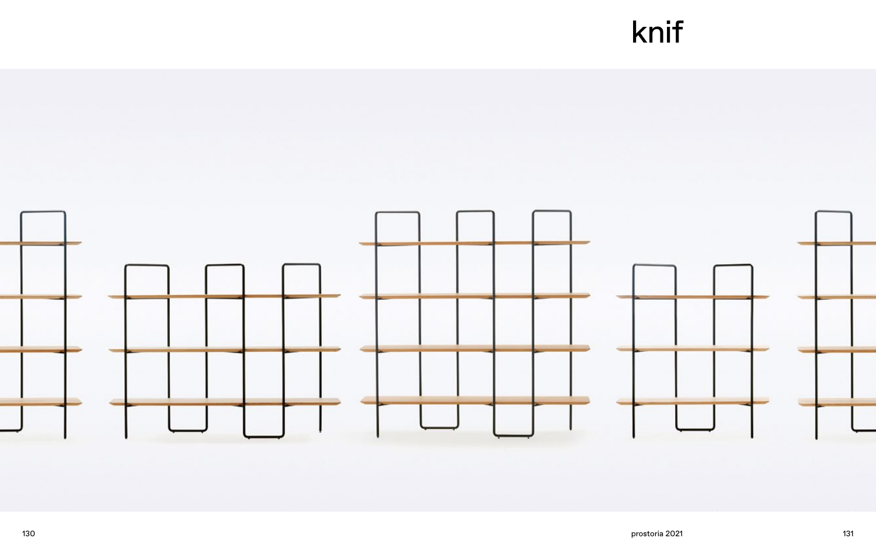

## knif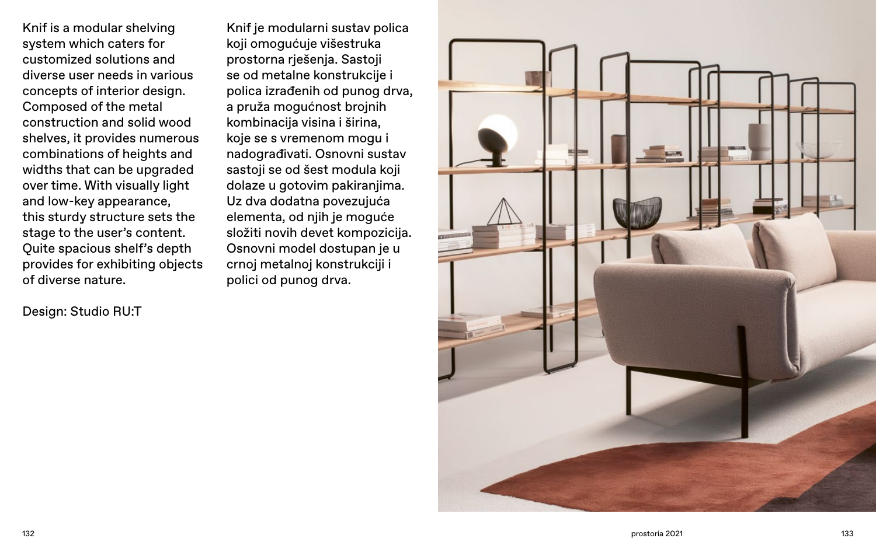Knif is a modular shelving system which caters for customized solutions and diverse user needs in various concepts of interior design. Composed of the metal construction and solid wood shelves, it provides numerous combinations of heights and widths that can be upgraded over time. With visually light and low-key appearance, this sturdy structure sets the stage to the user's content. Quite spacious shelf's depth provides for exhibiting objects of diverse nature.

Design: Studio RU:T

132 133 prostoria 2021

Knif je modularni sustav polica koji omogućuje višestruka prostorna rješenja. Sastoji se od metalne konstrukcije i polica izrađenih od punog drva, a pruža mogućnost brojnih kombinacija visina i širina, koje se s vremenom mogu i nadograđivati. Osnovni sustav sastoji se od šest modula koji dolaze u gotovim pakiranjima. Uz dva dodatna povezujuća elementa, od njih je moguće složiti novih devet kompozicija. Osnovni model dostupan je u crnoj metalnoj konstrukciji i polici od punog drva.

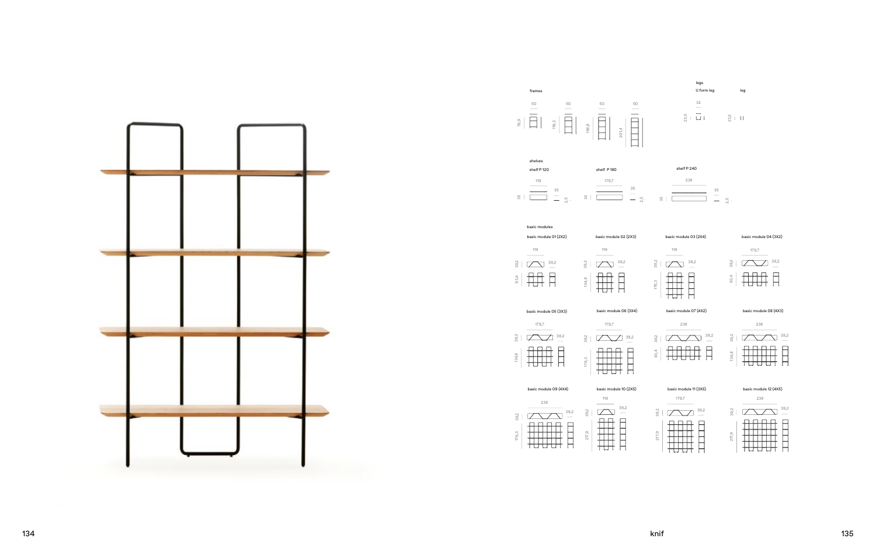50 201,4  $\begin{tabular}{|c|c|c|c|c|} \hline & 50 \\ \hline & 50 \\ \hline \end{tabular}$ 



179,7 238



134,8



















93,4

238





39,2







217,9











<del>∏∏∏∏</del><br>₩₩₩₩∏





39,2

frames



basic module 07 (4X2)





basic module 09 (4X4)

basic module 08 (4X3)